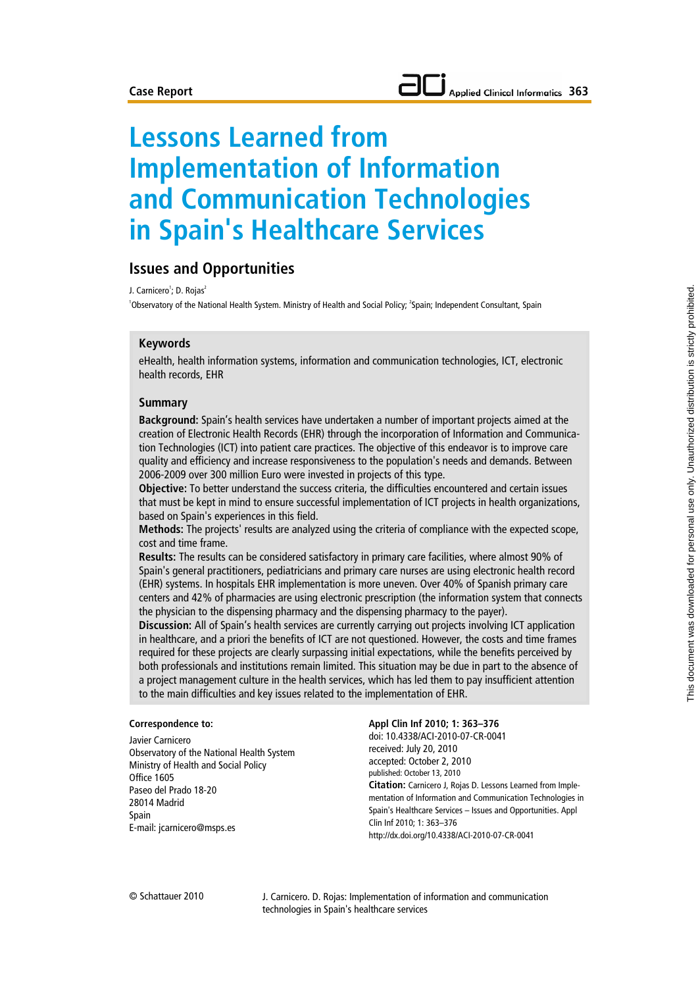# **Lessons Learned from Implementation of Information and Communication Technologies in Spain's Healthcare Services**

# **Issues and Opportunities**

J. Carnicero<sup>1</sup>; D. Rojas<sup>2</sup>

'Observatory of the National Health System. Ministry of Health and Social Policy; <sup>2</sup>Spain; Independent Consultant, Spain

#### **Keywords**

eHealth, health information systems, information and communication technologies, ICT, electronic health records, EHR

#### **Summary**

**Background:** Spain's health services have undertaken a number of important projects aimed at the creation of Electronic Health Records (EHR) through the incorporation of Information and Communication Technologies (ICT) into patient care practices. The objective of this endeavor is to improve care quality and efficiency and increase responsiveness to the population's needs and demands. Between 2006-2009 over 300 million Euro were invested in projects of this type.

**Objective:** To better understand the success criteria, the difficulties encountered and certain issues that must be kept in mind to ensure successful implementation of ICT projects in health organizations, based on Spain's experiences in this field.

**Methods:** The projects' results are analyzed using the criteria of compliance with the expected scope, cost and time frame.

**Results:** The results can be considered satisfactory in primary care facilities, where almost 90% of Spain's general practitioners, pediatricians and primary care nurses are using electronic health record (EHR) systems. In hospitals EHR implementation is more uneven. Over 40% of Spanish primary care centers and 42% of pharmacies are using electronic prescription (the information system that connects the physician to the dispensing pharmacy and the dispensing pharmacy to the payer).

**Discussion:** All of Spain's health services are currently carrying out projects involving ICT application in healthcare, and a priori the benefits of ICT are not questioned. However, the costs and time frames required for these projects are clearly surpassing initial expectations, while the benefits perceived by both professionals and institutions remain limited. This situation may be due in part to the absence of a project management culture in the health services, which has led them to pay insufficient attention to the main difficulties and key issues related to the implementation of EHR.

#### **Correspondence to:**

Javier Carnicero Observatory of the National Health System Ministry of Health and Social Policy Office 1605 Paseo del Prado 18-20 28014 Madrid Spain E-mail: jcarnicero@msps.es

**Appl Clin Inf 2010; 1: 363–376** doi: 10.4338/ACI-2010-07-CR-0041 received: July 20, 2010 accepted: October 2, 2010 published: October 13, 2010 **Citation:** Carnicero J, Rojas D. Lessons Learned from Implementation of Information and Communication Technologies in Spain's Healthcare Services – Issues and Opportunities. Appl Clin Inf 2010; 1: 363–376 http://dx.doi.org/10.4338/ACI-2010-07-CR-0041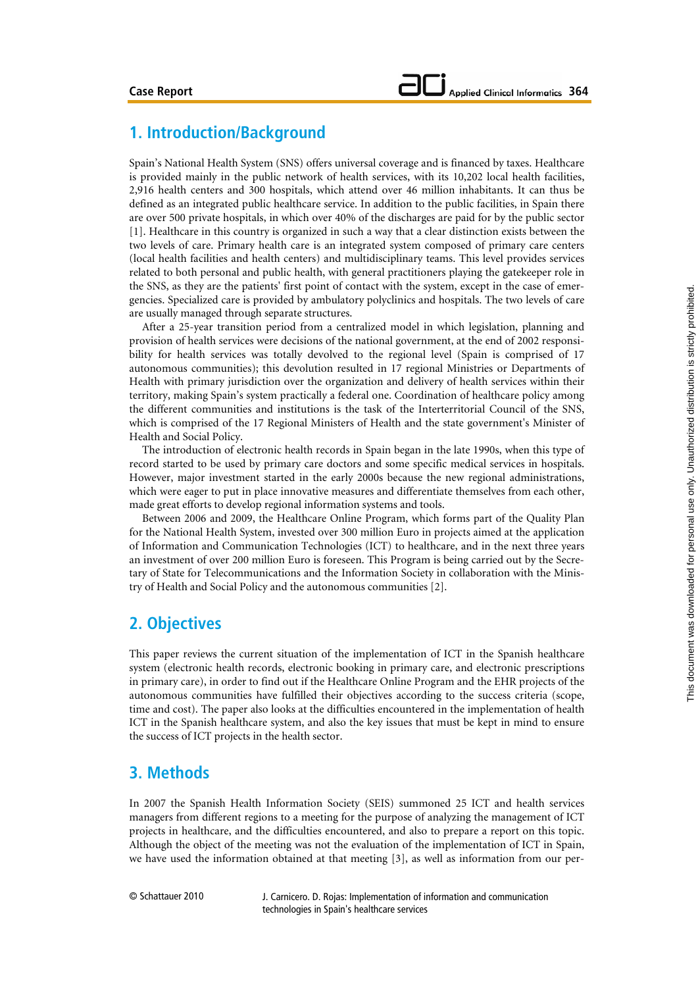# **1. Introduction/Background**

Spain's National Health System (SNS) offers universal coverage and is financed by taxes. Healthcare is provided mainly in the public network of health services, with its 10,202 local health facilities, 2,916 health centers and 300 hospitals, which attend over 46 million inhabitants. It can thus be defined as an integrated public healthcare service. In addition to the public facilities, in Spain there are over 500 private hospitals, in which over 40% of the discharges are paid for by the public sector [1]. Healthcare in this country is organized in such a way that a clear distinction exists between the two levels of care. Primary health care is an integrated system composed of primary care centers (local health facilities and health centers) and multidisciplinary teams. This level provides services related to both personal and public health, with general practitioners playing the gatekeeper role in the SNS, as they are the patients' first point of contact with the system, except in the case of emergencies. Specialized care is provided by ambulatory polyclinics and hospitals. The two levels of care are usually managed through separate structures.

After a 25-year transition period from a centralized model in which legislation, planning and provision of health services were decisions of the national government, at the end of 2002 responsibility for health services was totally devolved to the regional level (Spain is comprised of 17 autonomous communities); this devolution resulted in 17 regional Ministries or Departments of Health with primary jurisdiction over the organization and delivery of health services within their territory, making Spain's system practically a federal one. Coordination of healthcare policy among the different communities and institutions is the task of the Interterritorial Council of the SNS, which is comprised of the 17 Regional Ministers of Health and the state government's Minister of Health and Social Policy.

The introduction of electronic health records in Spain began in the late 1990s, when this type of record started to be used by primary care doctors and some specific medical services in hospitals. However, major investment started in the early 2000s because the new regional administrations, which were eager to put in place innovative measures and differentiate themselves from each other, made great efforts to develop regional information systems and tools.

Between 2006 and 2009, the Healthcare Online Program, which forms part of the Quality Plan for the National Health System, invested over 300 million Euro in projects aimed at the application of Information and Communication Technologies (ICT) to healthcare, and in the next three years an investment of over 200 million Euro is foreseen. This Program is being carried out by the Secretary of State for Telecommunications and the Information Society in collaboration with the Ministry of Health and Social Policy and the autonomous communities [2].

# **2. Objectives**

This paper reviews the current situation of the implementation of ICT in the Spanish healthcare system (electronic health records, electronic booking in primary care, and electronic prescriptions in primary care), in order to find out if the Healthcare Online Program and the EHR projects of the autonomous communities have fulfilled their objectives according to the success criteria (scope, time and cost). The paper also looks at the difficulties encountered in the implementation of health ICT in the Spanish healthcare system, and also the key issues that must be kept in mind to ensure the success of ICT projects in the health sector.

# **3. Methods**

In 2007 the Spanish Health Information Society (SEIS) summoned 25 ICT and health services managers from different regions to a meeting for the purpose of analyzing the management of ICT projects in healthcare, and the difficulties encountered, and also to prepare a report on this topic. Although the object of the meeting was not the evaluation of the implementation of ICT in Spain, we have used the information obtained at that meeting [3], as well as information from our per-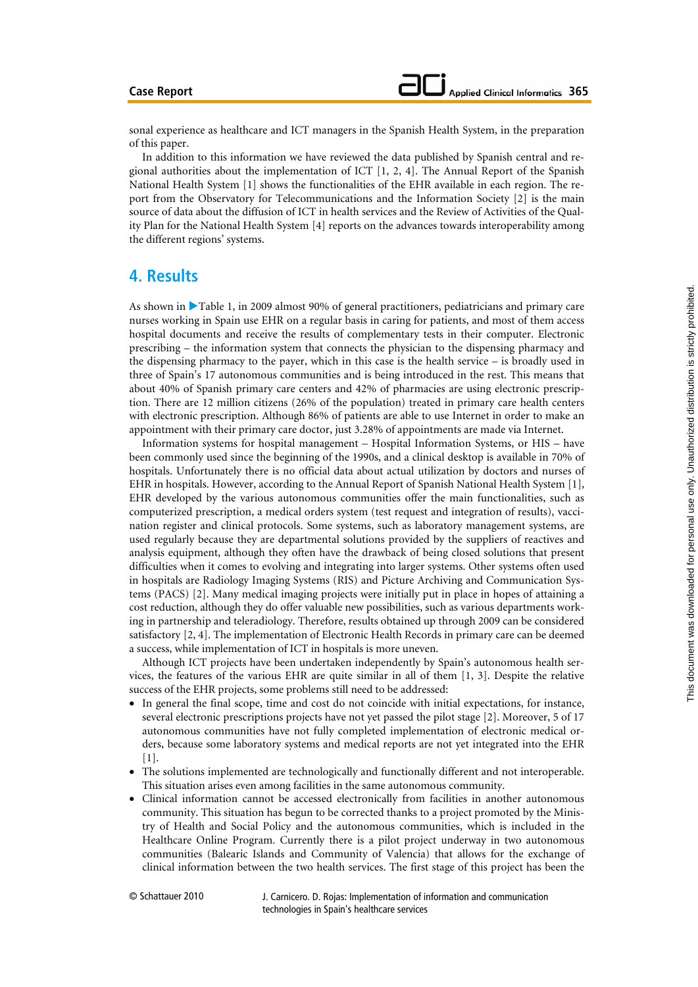#### **Case Report**

sonal experience as healthcare and ICT managers in the Spanish Health System, in the preparation of this paper.

In addition to this information we have reviewed the data published by Spanish central and regional authorities about the implementation of ICT  $[1, 2, 4]$ . The Annual Report of the Spanish National Health System [1] shows the functionalities of the EHR available in each region. The report from the Observatory for Telecommunications and the Information Society [2] is the main source of data about the diffusion of ICT in health services and the Review of Activities of the Quality Plan for the National Health System [4] reports on the advances towards interoperability among the different regions' systems.

## **4. Results**

As shown in  $\blacktriangleright$  Table 1, in 2009 almost 90% of general practitioners, pediatricians and primary care nurses working in Spain use EHR on a regular basis in caring for patients, and most of them access hospital documents and receive the results of complementary tests in their computer. Electronic prescribing – the information system that connects the physician to the dispensing pharmacy and the dispensing pharmacy to the payer, which in this case is the health service – is broadly used in three of Spain's 17 autonomous communities and is being introduced in the rest. This means that about 40% of Spanish primary care centers and 42% of pharmacies are using electronic prescription. There are 12 million citizens (26% of the population) treated in primary care health centers with electronic prescription. Although 86% of patients are able to use Internet in order to make an appointment with their primary care doctor, just 3.28% of appointments are made via Internet.

Information systems for hospital management – Hospital Information Systems, or HIS – have been commonly used since the beginning of the 1990s, and a clinical desktop is available in 70% of hospitals. Unfortunately there is no official data about actual utilization by doctors and nurses of EHR in hospitals. However, according to the Annual Report of Spanish National Health System [1], EHR developed by the various autonomous communities offer the main functionalities, such as computerized prescription, a medical orders system (test request and integration of results), vaccination register and clinical protocols. Some systems, such as laboratory management systems, are used regularly because they are departmental solutions provided by the suppliers of reactives and analysis equipment, although they often have the drawback of being closed solutions that present difficulties when it comes to evolving and integrating into larger systems. Other systems often used in hospitals are Radiology Imaging Systems (RIS) and Picture Archiving and Communication Systems (PACS) [2]. Many medical imaging projects were initially put in place in hopes of attaining a cost reduction, although they do offer valuable new possibilities, such as various departments working in partnership and teleradiology. Therefore, results obtained up through 2009 can be considered satisfactory [2, 4]. The implementation of Electronic Health Records in primary care can be deemed a success, while implementation of ICT in hospitals is more uneven.

Although ICT projects have been undertaken independently by Spain's autonomous health services, the features of the various EHR are quite similar in all of them [1, 3]. Despite the relative success of the EHR projects, some problems still need to be addressed:

- In general the final scope, time and cost do not coincide with initial expectations, for instance, several electronic prescriptions projects have not yet passed the pilot stage [2]. Moreover, 5 of 17 autonomous communities have not fully completed implementation of electronic medical orders, because some laboratory systems and medical reports are not yet integrated into the EHR [1].
- The solutions implemented are technologically and functionally different and not interoperable. This situation arises even among facilities in the same autonomous community.
- Clinical information cannot be accessed electronically from facilities in another autonomous community. This situation has begun to be corrected thanks to a project promoted by the Ministry of Health and Social Policy and the autonomous communities, which is included in the Healthcare Online Program. Currently there is a pilot project underway in two autonomous communities (Balearic Islands and Community of Valencia) that allows for the exchange of clinical information between the two health services. The first stage of this project has been the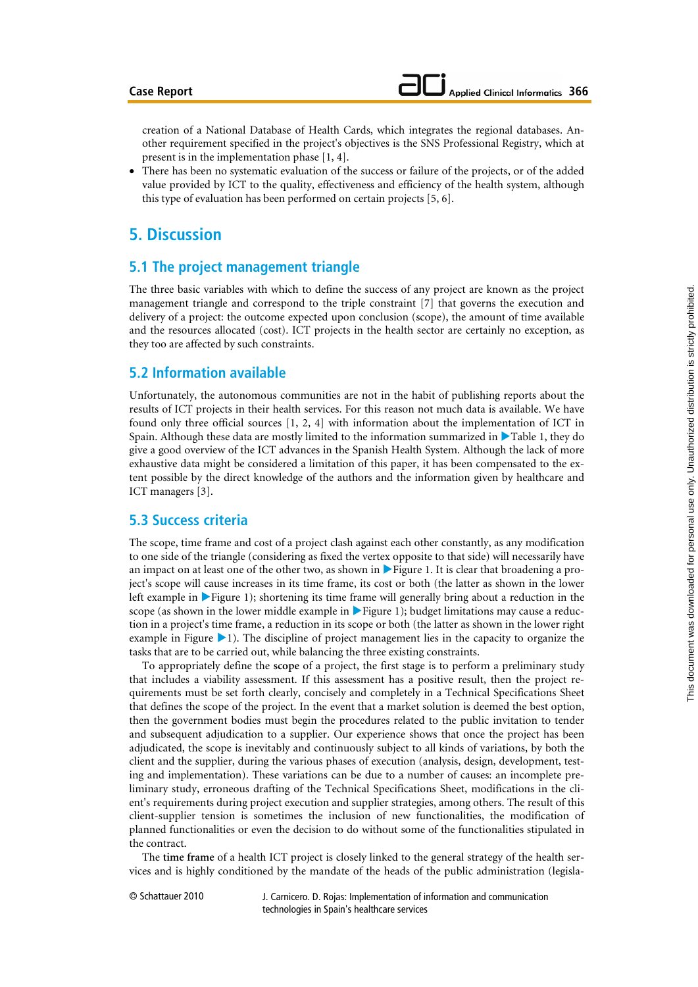creation of a National Database of Health Cards, which integrates the regional databases. Another requirement specified in the project's objectives is the SNS Professional Registry, which at present is in the implementation phase [1, 4].

• There has been no systematic evaluation of the success or failure of the projects, or of the added value provided by ICT to the quality, effectiveness and efficiency of the health system, although this type of evaluation has been performed on certain projects [5, 6].

# **5. Discussion**

### **5.1 The project management triangle**

The three basic variables with which to define the success of any project are known as the project management triangle and correspond to the triple constraint [7] that governs the execution and delivery of a project: the outcome expected upon conclusion (scope), the amount of time available and the resources allocated (cost). ICT projects in the health sector are certainly no exception, as they too are affected by such constraints.

### **5.2 Information available**

Unfortunately, the autonomous communities are not in the habit of publishing reports about the results of ICT projects in their health services. For this reason not much data is available. We have found only three official sources [1, 2, 4] with information about the implementation of ICT in Spain. Although these data are mostly limited to the information summarized in  $\blacktriangleright$  Table 1, they do give a good overview of the ICT advances in the Spanish Health System. Although the lack of more exhaustive data might be considered a limitation of this paper, it has been compensated to the extent possible by the direct knowledge of the authors and the information given by healthcare and ICT managers [3].

### **5.3 Success criteria**

The scope, time frame and cost of a project clash against each other constantly, as any modification to one side of the triangle (considering as fixed the vertex opposite to that side) will necessarily have an impact on at least one of the other two, as shown in Figure 1. It is clear that broadening a project's scope will cause increases in its time frame, its cost or both (the latter as shown in the lower left example in  $\blacktriangleright$  Figure 1); shortening its time frame will generally bring about a reduction in the scope (as shown in the lower middle example in  $\blacktriangleright$  Figure 1); budget limitations may cause a reduction in a project's time frame, a reduction in its scope or both (the latter as shown in the lower right example in Figure  $\blacktriangleright$  1). The discipline of project management lies in the capacity to organize the tasks that are to be carried out, while balancing the three existing constraints.

To appropriately define the **scope** of a project, the first stage is to perform a preliminary study that includes a viability assessment. If this assessment has a positive result, then the project requirements must be set forth clearly, concisely and completely in a Technical Specifications Sheet that defines the scope of the project. In the event that a market solution is deemed the best option, then the government bodies must begin the procedures related to the public invitation to tender and subsequent adjudication to a supplier. Our experience shows that once the project has been adjudicated, the scope is inevitably and continuously subject to all kinds of variations, by both the client and the supplier, during the various phases of execution (analysis, design, development, testing and implementation). These variations can be due to a number of causes: an incomplete preliminary study, erroneous drafting of the Technical Specifications Sheet, modifications in the client's requirements during project execution and supplier strategies, among others. The result of this client-supplier tension is sometimes the inclusion of new functionalities, the modification of planned functionalities or even the decision to do without some of the functionalities stipulated in the contract.

The **time frame** of a health ICT project is closely linked to the general strategy of the health services and is highly conditioned by the mandate of the heads of the public administration (legisla-

© Schattauer 2010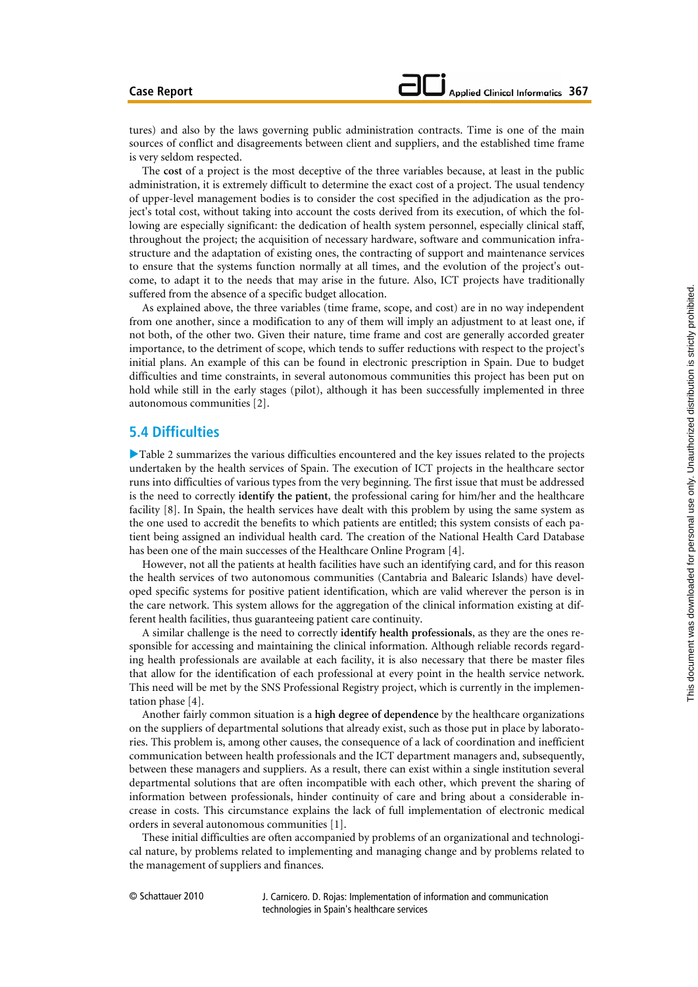tures) and also by the laws governing public administration contracts. Time is one of the main sources of conflict and disagreements between client and suppliers, and the established time frame is very seldom respected.

The **cost** of a project is the most deceptive of the three variables because, at least in the public administration, it is extremely difficult to determine the exact cost of a project. The usual tendency of upper-level management bodies is to consider the cost specified in the adjudication as the project's total cost, without taking into account the costs derived from its execution, of which the following are especially significant: the dedication of health system personnel, especially clinical staff, throughout the project; the acquisition of necessary hardware, software and communication infrastructure and the adaptation of existing ones, the contracting of support and maintenance services to ensure that the systems function normally at all times, and the evolution of the project's outcome, to adapt it to the needs that may arise in the future. Also, ICT projects have traditionally suffered from the absence of a specific budget allocation.

As explained above, the three variables (time frame, scope, and cost) are in no way independent from one another, since a modification to any of them will imply an adjustment to at least one, if not both, of the other two. Given their nature, time frame and cost are generally accorded greater importance, to the detriment of scope, which tends to suffer reductions with respect to the project's initial plans. An example of this can be found in electronic prescription in Spain. Due to budget difficulties and time constraints, in several autonomous communities this project has been put on hold while still in the early stages (pilot), although it has been successfully implemented in three autonomous communities [2].

### **5.4 Difficulties**

XTable 2 summarizes the various difficulties encountered and the key issues related to the projects undertaken by the health services of Spain. The execution of ICT projects in the healthcare sector runs into difficulties of various types from the very beginning. The first issue that must be addressed is the need to correctly **identify the patient**, the professional caring for him/her and the healthcare facility [8]. In Spain, the health services have dealt with this problem by using the same system as the one used to accredit the benefits to which patients are entitled; this system consists of each patient being assigned an individual health card. The creation of the National Health Card Database has been one of the main successes of the Healthcare Online Program [4].

However, not all the patients at health facilities have such an identifying card, and for this reason the health services of two autonomous communities (Cantabria and Balearic Islands) have developed specific systems for positive patient identification, which are valid wherever the person is in the care network. This system allows for the aggregation of the clinical information existing at different health facilities, thus guaranteeing patient care continuity.

A similar challenge is the need to correctly **identify health professionals**, as they are the ones responsible for accessing and maintaining the clinical information. Although reliable records regarding health professionals are available at each facility, it is also necessary that there be master files that allow for the identification of each professional at every point in the health service network. This need will be met by the SNS Professional Registry project, which is currently in the implementation phase [4].

Another fairly common situation is a **high degree of dependence** by the healthcare organizations on the suppliers of departmental solutions that already exist, such as those put in place by laboratories. This problem is, among other causes, the consequence of a lack of coordination and inefficient communication between health professionals and the ICT department managers and, subsequently, between these managers and suppliers. As a result, there can exist within a single institution several departmental solutions that are often incompatible with each other, which prevent the sharing of information between professionals, hinder continuity of care and bring about a considerable increase in costs. This circumstance explains the lack of full implementation of electronic medical orders in several autonomous communities [1].

These initial difficulties are often accompanied by problems of an organizational and technological nature, by problems related to implementing and managing change and by problems related to the management of suppliers and finances.

© Schattauer 2010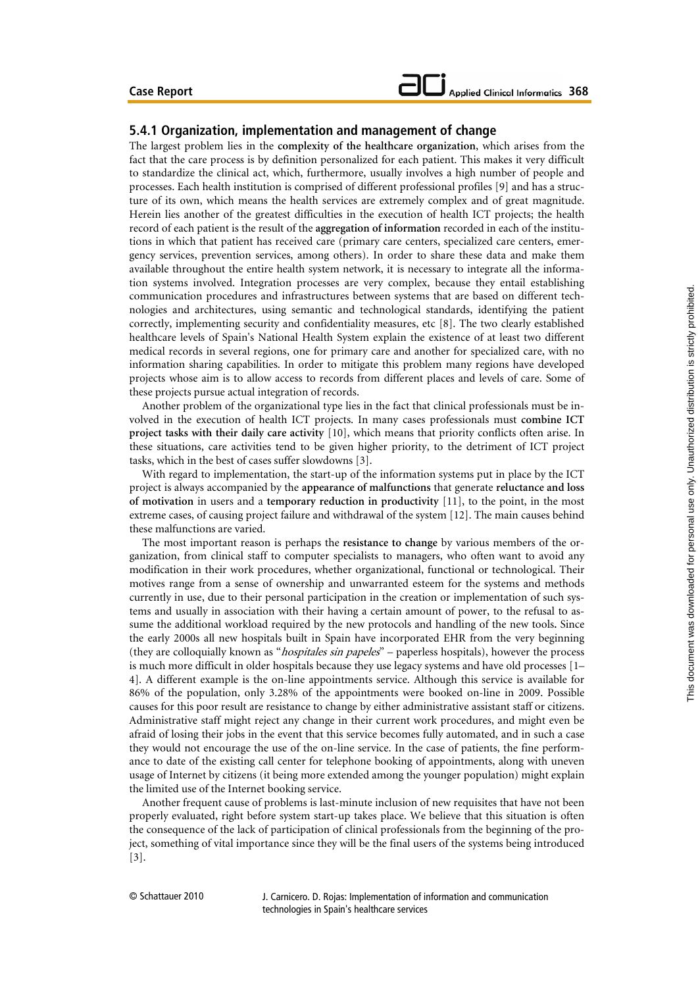#### **5.4.1 Organization, implementation and management of change**

The largest problem lies in the **complexity of the healthcare organization**, which arises from the fact that the care process is by definition personalized for each patient. This makes it very difficult to standardize the clinical act, which, furthermore, usually involves a high number of people and processes. Each health institution is comprised of different professional profiles [9] and has a structure of its own, which means the health services are extremely complex and of great magnitude. Herein lies another of the greatest difficulties in the execution of health ICT projects; the health record of each patient is the result of the **aggregation of information** recorded in each of the institutions in which that patient has received care (primary care centers, specialized care centers, emergency services, prevention services, among others). In order to share these data and make them available throughout the entire health system network, it is necessary to integrate all the information systems involved. Integration processes are very complex, because they entail establishing communication procedures and infrastructures between systems that are based on different technologies and architectures, using semantic and technological standards, identifying the patient correctly, implementing security and confidentiality measures, etc [8]. The two clearly established healthcare levels of Spain's National Health System explain the existence of at least two different medical records in several regions, one for primary care and another for specialized care, with no information sharing capabilities. In order to mitigate this problem many regions have developed projects whose aim is to allow access to records from different places and levels of care. Some of these projects pursue actual integration of records.

Another problem of the organizational type lies in the fact that clinical professionals must be involved in the execution of health ICT projects. In many cases professionals must **combine ICT project tasks with their daily care activity** [10], which means that priority conflicts often arise. In these situations, care activities tend to be given higher priority, to the detriment of ICT project tasks, which in the best of cases suffer slowdowns [3].

With regard to implementation, the start-up of the information systems put in place by the ICT project is always accompanied by the **appearance of malfunctions** that generate **reluctance and loss of motivation** in users and a **temporary reduction in productivity** [11], to the point, in the most extreme cases, of causing project failure and withdrawal of the system [12]. The main causes behind these malfunctions are varied.

The most important reason is perhaps the **resistance to change** by various members of the organization, from clinical staff to computer specialists to managers, who often want to avoid any modification in their work procedures, whether organizational, functional or technological. Their motives range from a sense of ownership and unwarranted esteem for the systems and methods currently in use, due to their personal participation in the creation or implementation of such systems and usually in association with their having a certain amount of power, to the refusal to assume the additional workload required by the new protocols and handling of the new tools**.** Since the early 2000s all new hospitals built in Spain have incorporated EHR from the very beginning (they are colloquially known as "*hospitales sin papeles*" – paperless hospitals), however the process is much more difficult in older hospitals because they use legacy systems and have old processes [1– 4]. A different example is the on-line appointments service. Although this service is available for 86% of the population, only 3.28% of the appointments were booked on-line in 2009. Possible causes for this poor result are resistance to change by either administrative assistant staff or citizens. Administrative staff might reject any change in their current work procedures, and might even be afraid of losing their jobs in the event that this service becomes fully automated, and in such a case they would not encourage the use of the on-line service. In the case of patients, the fine performance to date of the existing call center for telephone booking of appointments, along with uneven usage of Internet by citizens (it being more extended among the younger population) might explain the limited use of the Internet booking service.

Another frequent cause of problems is last-minute inclusion of new requisites that have not been properly evaluated, right before system start-up takes place. We believe that this situation is often the consequence of the lack of participation of clinical professionals from the beginning of the project, something of vital importance since they will be the final users of the systems being introduced [3].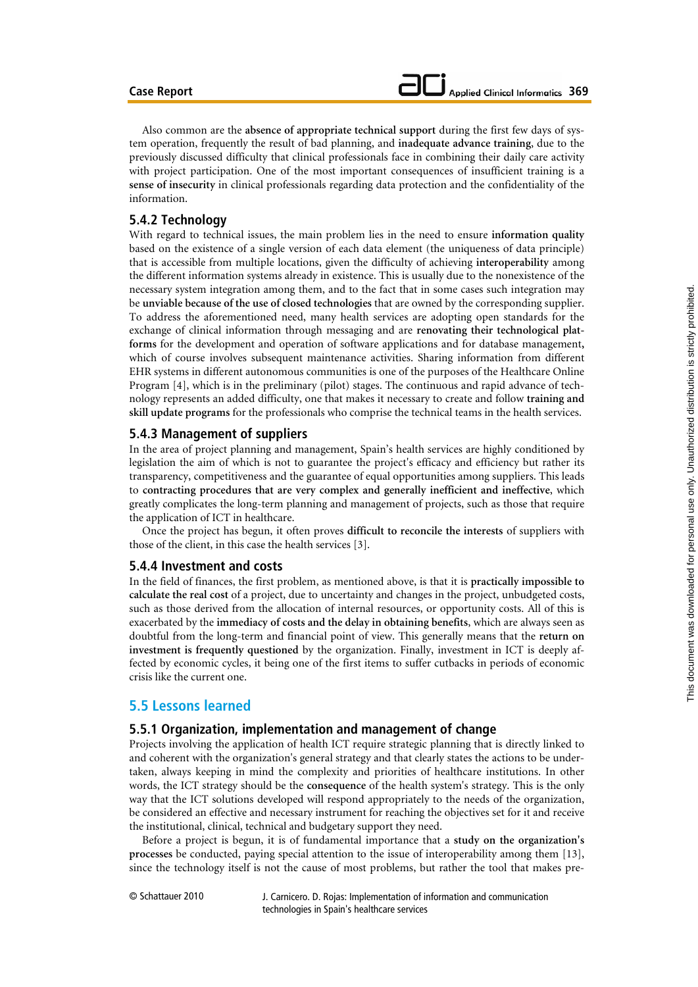Also common are the **absence of appropriate technical support** during the first few days of system operation, frequently the result of bad planning, and **inadequate advance training**, due to the previously discussed difficulty that clinical professionals face in combining their daily care activity with project participation. One of the most important consequences of insufficient training is a **sense of insecurity** in clinical professionals regarding data protection and the confidentiality of the information.

### **5.4.2 Technology**

With regard to technical issues, the main problem lies in the need to ensure **information quality** based on the existence of a single version of each data element (the uniqueness of data principle) that is accessible from multiple locations, given the difficulty of achieving **interoperability** among the different information systems already in existence. This is usually due to the nonexistence of the necessary system integration among them, and to the fact that in some cases such integration may be **unviable because of the use of closed technologies** that are owned by the corresponding supplier. To address the aforementioned need, many health services are adopting open standards for the exchange of clinical information through messaging and are **renovating their technological platforms** for the development and operation of software applications and for database management**,**  which of course involves subsequent maintenance activities. Sharing information from different EHR systems in different autonomous communities is one of the purposes of the Healthcare Online Program [4], which is in the preliminary (pilot) stages. The continuous and rapid advance of technology represents an added difficulty, one that makes it necessary to create and follow **training and skill update programs** for the professionals who comprise the technical teams in the health services.

#### **5.4.3 Management of suppliers**

In the area of project planning and management, Spain's health services are highly conditioned by legislation the aim of which is not to guarantee the project's efficacy and efficiency but rather its transparency, competitiveness and the guarantee of equal opportunities among suppliers. This leads to **contracting procedures that are very complex and generally inefficient and ineffective**, which greatly complicates the long-term planning and management of projects, such as those that require the application of ICT in healthcare.

Once the project has begun, it often proves **difficult to reconcile the interests** of suppliers with those of the client, in this case the health services [3].

### **5.4.4 Investment and costs**

In the field of finances, the first problem, as mentioned above, is that it is **practically impossible to calculate the real cost** of a project, due to uncertainty and changes in the project, unbudgeted costs, such as those derived from the allocation of internal resources, or opportunity costs. All of this is exacerbated by the **immediacy of costs and the delay in obtaining benefits**, which are always seen as doubtful from the long-term and financial point of view. This generally means that the **return on investment is frequently questioned** by the organization. Finally, investment in ICT is deeply affected by economic cycles, it being one of the first items to suffer cutbacks in periods of economic crisis like the current one.

### **5.5 Lessons learned**

#### **5.5.1 Organization, implementation and management of change**

Projects involving the application of health ICT require strategic planning that is directly linked to and coherent with the organization's general strategy and that clearly states the actions to be undertaken, always keeping in mind the complexity and priorities of healthcare institutions. In other words, the ICT strategy should be the **consequence** of the health system's strategy. This is the only way that the ICT solutions developed will respond appropriately to the needs of the organization, be considered an effective and necessary instrument for reaching the objectives set for it and receive the institutional, clinical, technical and budgetary support they need.

Before a project is begun, it is of fundamental importance that a **study on the organization's processes** be conducted, paying special attention to the issue of interoperability among them [13], since the technology itself is not the cause of most problems, but rather the tool that makes pre-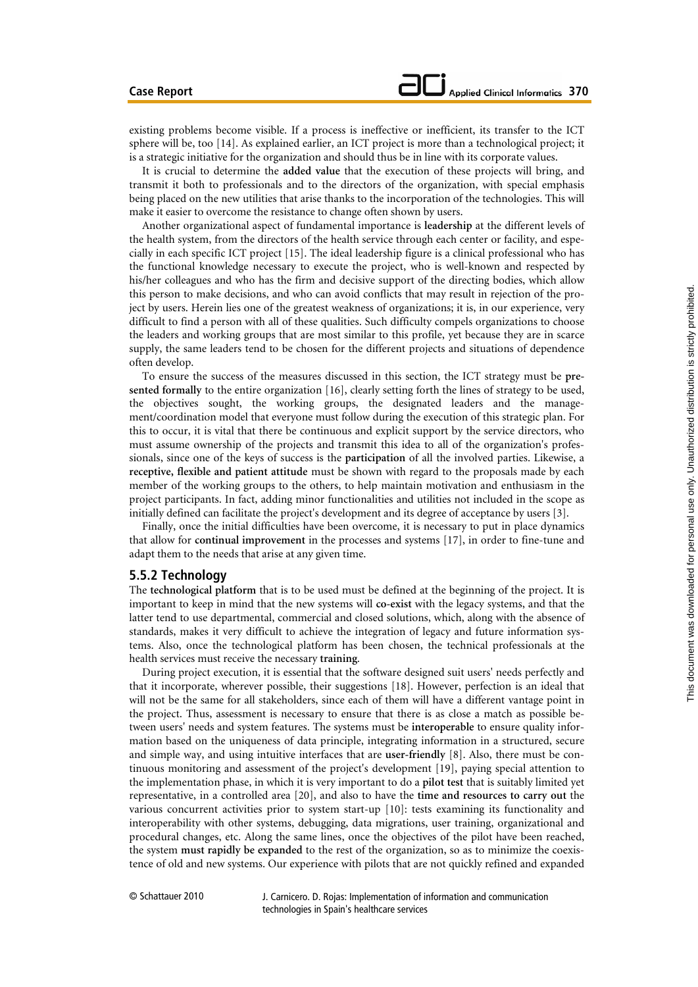existing problems become visible. If a process is ineffective or inefficient, its transfer to the ICT sphere will be, too [14]. As explained earlier, an ICT project is more than a technological project; it is a strategic initiative for the organization and should thus be in line with its corporate values.

It is crucial to determine the **added value** that the execution of these projects will bring, and transmit it both to professionals and to the directors of the organization, with special emphasis being placed on the new utilities that arise thanks to the incorporation of the technologies. This will make it easier to overcome the resistance to change often shown by users.

Another organizational aspect of fundamental importance is **leadership** at the different levels of the health system, from the directors of the health service through each center or facility, and especially in each specific ICT project [15]. The ideal leadership figure is a clinical professional who has the functional knowledge necessary to execute the project, who is well-known and respected by his/her colleagues and who has the firm and decisive support of the directing bodies, which allow this person to make decisions, and who can avoid conflicts that may result in rejection of the project by users. Herein lies one of the greatest weakness of organizations; it is, in our experience, very difficult to find a person with all of these qualities. Such difficulty compels organizations to choose the leaders and working groups that are most similar to this profile, yet because they are in scarce supply, the same leaders tend to be chosen for the different projects and situations of dependence often develop.

To ensure the success of the measures discussed in this section, the ICT strategy must be **pre**sented formally to the entire organization [16], clearly setting forth the lines of strategy to be used, the objectives sought, the working groups, the designated leaders and the management/coordination model that everyone must follow during the execution of this strategic plan. For this to occur, it is vital that there be continuous and explicit support by the service directors, who must assume ownership of the projects and transmit this idea to all of the organization's professionals, since one of the keys of success is the **participation** of all the involved parties. Likewise, a **receptive, flexible and patient attitude** must be shown with regard to the proposals made by each member of the working groups to the others, to help maintain motivation and enthusiasm in the project participants. In fact, adding minor functionalities and utilities not included in the scope as initially defined can facilitate the project's development and its degree of acceptance by users [3].

Finally, once the initial difficulties have been overcome, it is necessary to put in place dynamics that allow for **continual improvement** in the processes and systems [17], in order to fine-tune and adapt them to the needs that arise at any given time.

#### **5.5.2 Technology**

The **technological platform** that is to be used must be defined at the beginning of the project. It is important to keep in mind that the new systems will **co-exist** with the legacy systems, and that the latter tend to use departmental, commercial and closed solutions, which, along with the absence of standards, makes it very difficult to achieve the integration of legacy and future information systems. Also, once the technological platform has been chosen, the technical professionals at the health services must receive the necessary **training**.

During project execution, it is essential that the software designed suit users' needs perfectly and that it incorporate, wherever possible, their suggestions [18]. However, perfection is an ideal that will not be the same for all stakeholders, since each of them will have a different vantage point in the project. Thus, assessment is necessary to ensure that there is as close a match as possible between users' needs and system features. The systems must be **interoperable** to ensure quality information based on the uniqueness of data principle, integrating information in a structured, secure and simple way, and using intuitive interfaces that are **user-friendly** [8]. Also, there must be continuous monitoring and assessment of the project's development [19], paying special attention to the implementation phase, in which it is very important to do a **pilot test** that is suitably limited yet representative, in a controlled area [20], and also to have the **time and resources to carry out** the various concurrent activities prior to system start-up [10]: tests examining its functionality and interoperability with other systems, debugging, data migrations, user training, organizational and procedural changes, etc. Along the same lines, once the objectives of the pilot have been reached, the system **must rapidly be expanded** to the rest of the organization, so as to minimize the coexistence of old and new systems. Our experience with pilots that are not quickly refined and expanded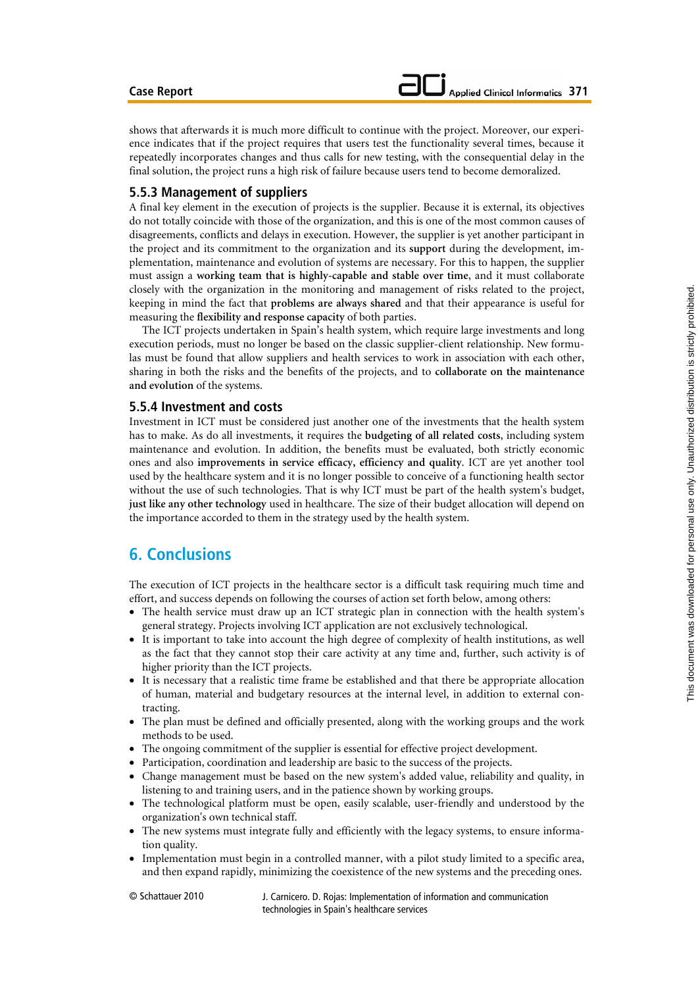shows that afterwards it is much more difficult to continue with the project. Moreover, our experience indicates that if the project requires that users test the functionality several times, because it repeatedly incorporates changes and thus calls for new testing, with the consequential delay in the final solution, the project runs a high risk of failure because users tend to become demoralized.

### **5.5.3 Management of suppliers**

A final key element in the execution of projects is the supplier. Because it is external, its objectives do not totally coincide with those of the organization, and this is one of the most common causes of disagreements, conflicts and delays in execution. However, the supplier is yet another participant in the project and its commitment to the organization and its **support** during the development, implementation, maintenance and evolution of systems are necessary. For this to happen, the supplier must assign a **working team that is highly-capable and stable over time**, and it must collaborate closely with the organization in the monitoring and management of risks related to the project, keeping in mind the fact that **problems are always shared** and that their appearance is useful for measuring the **flexibility and response capacity** of both parties.

The ICT projects undertaken in Spain's health system, which require large investments and long execution periods, must no longer be based on the classic supplier-client relationship. New formulas must be found that allow suppliers and health services to work in association with each other, sharing in both the risks and the benefits of the projects, and to **collaborate on the maintenance and evolution** of the systems.

#### **5.5.4 Investment and costs**

Investment in ICT must be considered just another one of the investments that the health system has to make. As do all investments, it requires the **budgeting of all related costs**, including system maintenance and evolution. In addition, the benefits must be evaluated, both strictly economic ones and also **improvements in service efficacy, efficiency and quality**. ICT are yet another tool used by the healthcare system and it is no longer possible to conceive of a functioning health sector without the use of such technologies. That is why ICT must be part of the health system's budget, **just like any other technology** used in healthcare. The size of their budget allocation will depend on the importance accorded to them in the strategy used by the health system.

# **6. Conclusions**

The execution of ICT projects in the healthcare sector is a difficult task requiring much time and effort, and success depends on following the courses of action set forth below, among others:

- The health service must draw up an ICT strategic plan in connection with the health system's general strategy. Projects involving ICT application are not exclusively technological.
- It is important to take into account the high degree of complexity of health institutions, as well as the fact that they cannot stop their care activity at any time and, further, such activity is of higher priority than the ICT projects.
- It is necessary that a realistic time frame be established and that there be appropriate allocation of human, material and budgetary resources at the internal level, in addition to external contracting.
- The plan must be defined and officially presented, along with the working groups and the work methods to be used.
- The ongoing commitment of the supplier is essential for effective project development.
- Participation, coordination and leadership are basic to the success of the projects.
- Change management must be based on the new system's added value, reliability and quality, in listening to and training users, and in the patience shown by working groups.
- The technological platform must be open, easily scalable, user-friendly and understood by the organization's own technical staff.
- The new systems must integrate fully and efficiently with the legacy systems, to ensure information quality.
- Implementation must begin in a controlled manner, with a pilot study limited to a specific area, and then expand rapidly, minimizing the coexistence of the new systems and the preceding ones.

© Schattauer 2010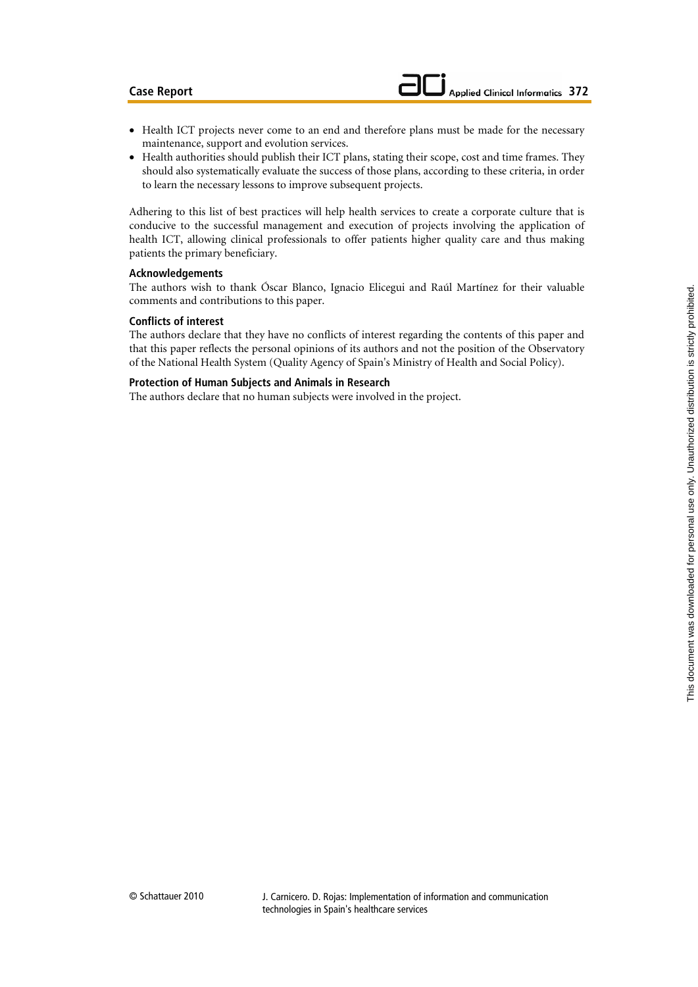- Health ICT projects never come to an end and therefore plans must be made for the necessary maintenance, support and evolution services.
- Health authorities should publish their ICT plans, stating their scope, cost and time frames. They should also systematically evaluate the success of those plans, according to these criteria, in order to learn the necessary lessons to improve subsequent projects.

Adhering to this list of best practices will help health services to create a corporate culture that is conducive to the successful management and execution of projects involving the application of health ICT, allowing clinical professionals to offer patients higher quality care and thus making patients the primary beneficiary.

#### **Acknowledgements**

The authors wish to thank Óscar Blanco, Ignacio Elicegui and Raúl Martínez for their valuable comments and contributions to this paper.

#### **Conflicts of interest**

The authors declare that they have no conflicts of interest regarding the contents of this paper and that this paper reflects the personal opinions of its authors and not the position of the Observatory of the National Health System (Quality Agency of Spain's Ministry of Health and Social Policy).

#### **Protection of Human Subjects and Animals in Research**

The authors declare that no human subjects were involved in the project.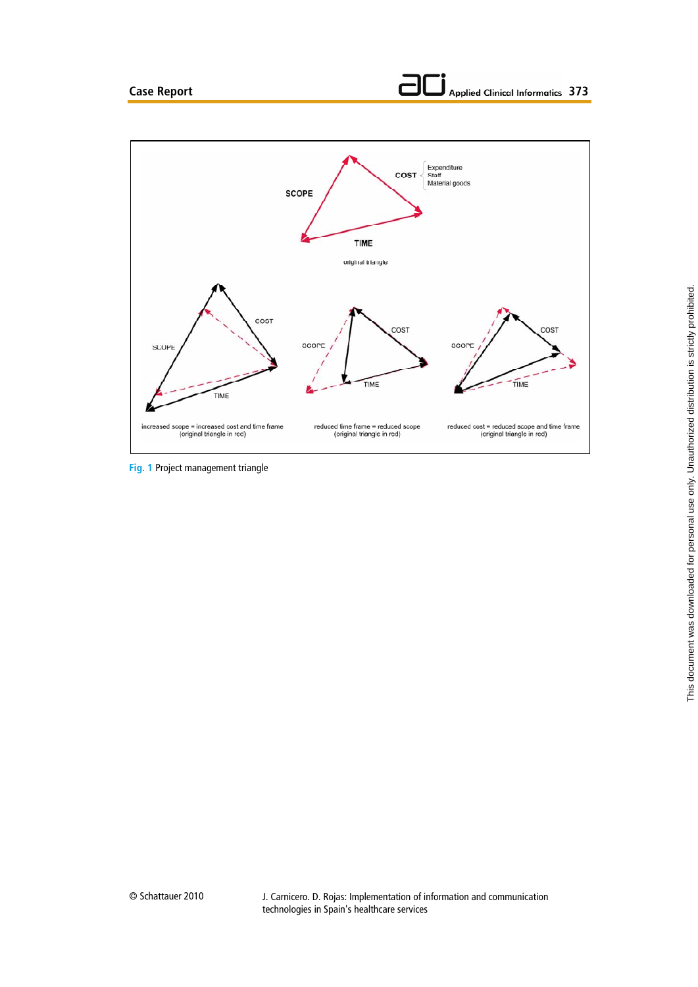

**Fig. 1** Project management triangle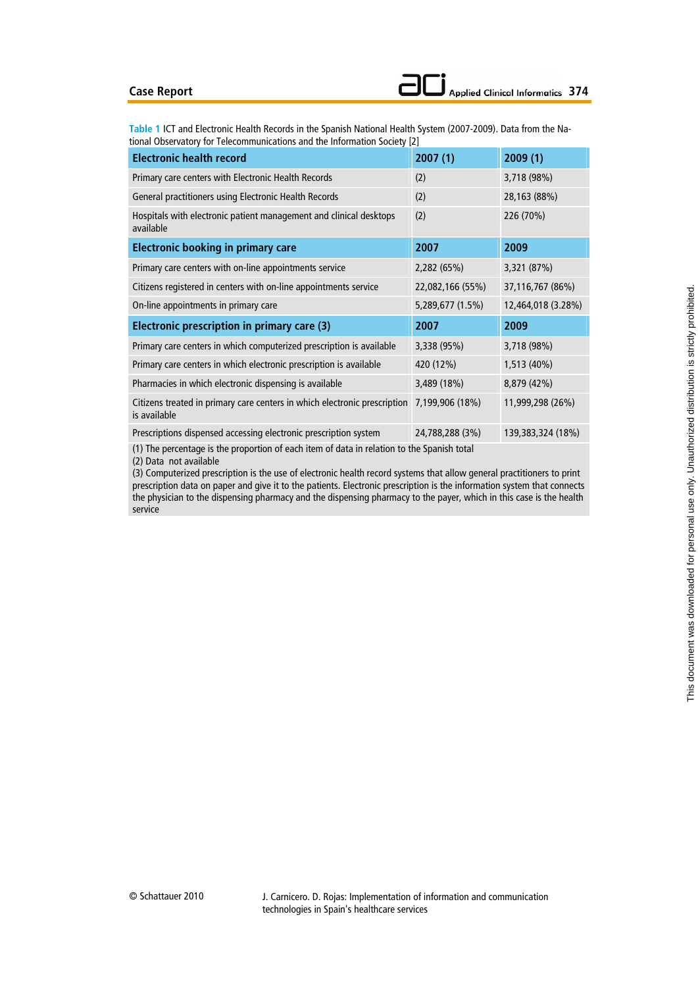#### **Case Report**

**Table 1** ICT and Electronic Health Records in the Spanish National Health System (2007-2009). Data from the National Observatory for Telecommunications and the Information Society [2]

| <b>Electronic health record</b>                                                               | 2007(1)          | 2009(1)            |
|-----------------------------------------------------------------------------------------------|------------------|--------------------|
| Primary care centers with Electronic Health Records                                           | (2)              | 3,718 (98%)        |
| General practitioners using Electronic Health Records                                         | (2)              | 28,163 (88%)       |
| Hospitals with electronic patient management and clinical desktops<br>available               | (2)              | 226 (70%)          |
| <b>Electronic booking in primary care</b>                                                     | 2007             | 2009               |
| Primary care centers with on-line appointments service                                        | 2,282 (65%)      | 3,321 (87%)        |
| Citizens registered in centers with on-line appointments service                              | 22,082,166 (55%) | 37,116,767 (86%)   |
| On-line appointments in primary care                                                          | 5,289,677 (1.5%) | 12,464,018 (3.28%) |
| Electronic prescription in primary care (3)                                                   | 2007             | 2009               |
| Primary care centers in which computerized prescription is available                          | 3,338 (95%)      | 3,718 (98%)        |
| Primary care centers in which electronic prescription is available                            | 420 (12%)        | 1,513 (40%)        |
| Pharmacies in which electronic dispensing is available                                        | 3,489 (18%)      | 8,879 (42%)        |
| Citizens treated in primary care centers in which electronic prescription<br>is available     | 7,199,906 (18%)  | 11,999,298 (26%)   |
| Prescriptions dispensed accessing electronic prescription system                              | 24,788,288 (3%)  | 139,383,324 (18%)  |
| $(1)$ The norganizate is the proportion of each item of data in relation to the Connich total |                  |                    |

(1) The percentage is the proportion of each item of data in relation to the Spanish total

(2) Data not available

(3) Computerized prescription is the use of electronic health record systems that allow general practitioners to print prescription data on paper and give it to the patients. Electronic prescription is the information system that connects the physician to the dispensing pharmacy and the dispensing pharmacy to the payer, which in this case is the health service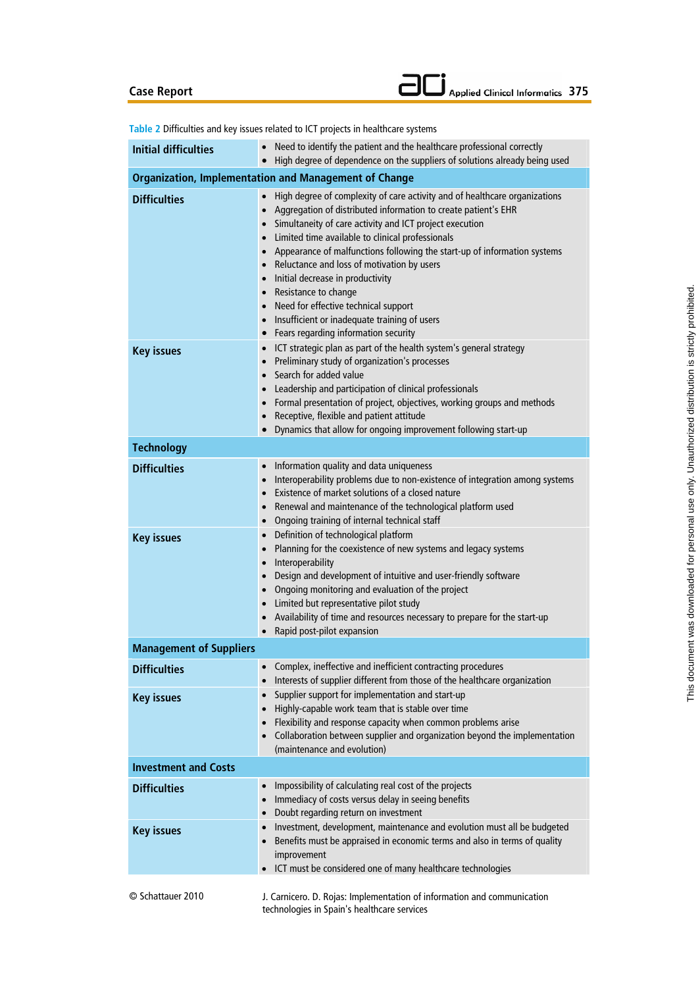# **Case Report**

|  | $\Box$ Applied Clinical Informatics 375 |  |
|--|-----------------------------------------|--|
|--|-----------------------------------------|--|

|                                          | Table 2 Difficulties and key issues related to ICT projects in healthcare systems                                                                                                                                                                                                                                                                                                                                                                                                                                                                                                                                                    |
|------------------------------------------|--------------------------------------------------------------------------------------------------------------------------------------------------------------------------------------------------------------------------------------------------------------------------------------------------------------------------------------------------------------------------------------------------------------------------------------------------------------------------------------------------------------------------------------------------------------------------------------------------------------------------------------|
| <b>Initial difficulties</b>              | Need to identify the patient and the healthcare professional correctly<br>High degree of dependence on the suppliers of solutions already being used<br>$\bullet$                                                                                                                                                                                                                                                                                                                                                                                                                                                                    |
|                                          | <b>Organization, Implementation and Management of Change</b>                                                                                                                                                                                                                                                                                                                                                                                                                                                                                                                                                                         |
| <b>Difficulties</b>                      | High degree of complexity of care activity and of healthcare organizations<br>$\bullet$<br>Aggregation of distributed information to create patient's EHR<br>$\bullet$<br>• Simultaneity of care activity and ICT project execution<br>Limited time available to clinical professionals<br>$\bullet$<br>• Appearance of malfunctions following the start-up of information systems<br>• Reluctance and loss of motivation by users<br>• Initial decrease in productivity<br>• Resistance to change<br>Need for effective technical support<br>Insufficient or inadequate training of users<br>• Fears regarding information security |
| <b>Key issues</b>                        | ICT strategic plan as part of the health system's general strategy<br>Preliminary study of organization's processes<br>Search for added value<br>Leadership and participation of clinical professionals<br>• Formal presentation of project, objectives, working groups and methods<br>Receptive, flexible and patient attitude<br>• Dynamics that allow for ongoing improvement following start-up                                                                                                                                                                                                                                  |
| <b>Technology</b>                        |                                                                                                                                                                                                                                                                                                                                                                                                                                                                                                                                                                                                                                      |
| <b>Difficulties</b><br><b>Key issues</b> | Information quality and data uniqueness<br>Interoperability problems due to non-existence of integration among systems<br>Existence of market solutions of a closed nature<br>$\bullet$<br>Renewal and maintenance of the technological platform used<br>$\bullet$<br>• Ongoing training of internal technical staff<br>• Definition of technological platform<br>Planning for the coexistence of new systems and legacy systems<br>$\bullet$<br>• Interoperability<br>Design and development of intuitive and user-friendly software<br>$\bullet$<br>• Ongoing monitoring and evaluation of the project                             |
|                                          | • Limited but representative pilot study<br>Availability of time and resources necessary to prepare for the start-up<br>Rapid post-pilot expansion<br>$\bullet$                                                                                                                                                                                                                                                                                                                                                                                                                                                                      |
| <b>Management of Suppliers</b>           |                                                                                                                                                                                                                                                                                                                                                                                                                                                                                                                                                                                                                                      |
| <b>Difficulties</b>                      | Complex, ineffective and inefficient contracting procedures<br>Interests of supplier different from those of the healthcare organization<br>$\bullet$                                                                                                                                                                                                                                                                                                                                                                                                                                                                                |
| <b>Key issues</b>                        | Supplier support for implementation and start-up<br>$\bullet$<br>Highly-capable work team that is stable over time<br>$\bullet$<br>Flexibility and response capacity when common problems arise<br>$\bullet$<br>Collaboration between supplier and organization beyond the implementation<br>(maintenance and evolution)                                                                                                                                                                                                                                                                                                             |
| <b>Investment and Costs</b>              |                                                                                                                                                                                                                                                                                                                                                                                                                                                                                                                                                                                                                                      |
| <b>Difficulties</b><br><b>Key issues</b> | Impossibility of calculating real cost of the projects<br>$\bullet$<br>Immediacy of costs versus delay in seeing benefits<br>Doubt regarding return on investment<br>Investment, development, maintenance and evolution must all be budgeted<br>Benefits must be appraised in economic terms and also in terms of quality                                                                                                                                                                                                                                                                                                            |
|                                          | improvement<br>ICT must be considered one of many healthcare technologies                                                                                                                                                                                                                                                                                                                                                                                                                                                                                                                                                            |
| © Schattauer 2010                        | J. Carnicero. D. Rojas: Implementation of information and communication<br>technologies in Spain's healthcare services                                                                                                                                                                                                                                                                                                                                                                                                                                                                                                               |

**Table 2** Difficulties and key issues related to ICT projects in healthcare systems